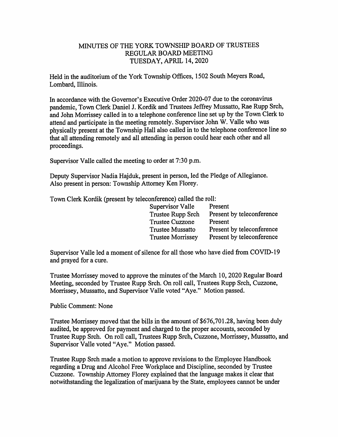## MINUTES OF THE YORK TOWNSHIP BOARD OF TRUSTEES REGULAR BOARD MEETING TUESDAY, APRIL 14,2020

Held in the auditorium of the York Township Offices, 1502 South Meyers Road, Lombard, Illinois.

In accordance with the Governor's Executive Order 2020-07 due to the coronavirus pandemic. Town Clerk Daniel J. Kordik and Trustees Jeffrey Mussatto, Rae Rupp Srch, and John Morrissey called in to a telephone conference line set up by the Town Clerk to attend and participate in the meeting remotely. Supervisor John W. Valle who was physically present at the Tovmship Hall also called in to the telephone conference line so that all attending remotely and all attending in person could hear each other and all proceedings.

Supervisor Valle called the meeting to order at 7:30 p.m.

Deputy Supervisor Nadia Hajduk, present in person, led the Pledge of Allegiance. Also present in person: Township Attorney Ken Florey.

Town Clerk Kordik (present by teleconference) called the roll:

| Supervisor Valle         | Present                   |
|--------------------------|---------------------------|
| Trustee Rupp Srch        | Present by teleconference |
| <b>Trustee Cuzzone</b>   | Present                   |
| <b>Trustee Mussatto</b>  | Present by teleconference |
| <b>Trustee Morrissey</b> | Present by teleconference |

Supervisor Valle led a moment of silence for all those who have died from COVID-19 and prayed for a cure.

Trustee Morrissey moved to approve the minutes of the March 10, 2020 Regular Board Meeting, seconded by Trustee Rupp Srch. On roll call. Trustees Rupp Srch, Cuzzone, Morrissey, Mussatto, and Supervisor Valle voted "Aye." Motion passed.

## Public Comment: None

Trustee Morrissey moved that the bills in the amount of \$676,701.28, having been duly audited, be approved for payment and charged to the proper accounts, seconded by Trustee Rupp Srch. On roll call. Trustees Rupp Srch, Cuzzone, Morrissey, Mussatto, and Supervisor Valle voted "Aye." Motion passed.

Trustee Rupp Srch made a motion to approve revisions to the Employee Handbook regarding a Drug and Alcohol Free Workplace and Discipline, seconded by Trustee Cuzzone. Township Attorney Florey explained that the language makes it clear that notwithstanding the legalization of marijuana by the State, employees cannot be under